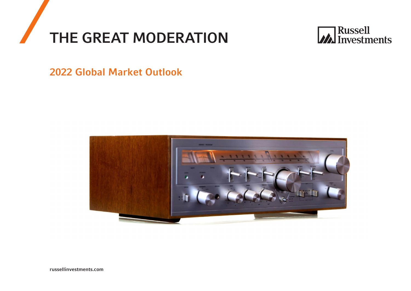



2022 Global Market Outlook

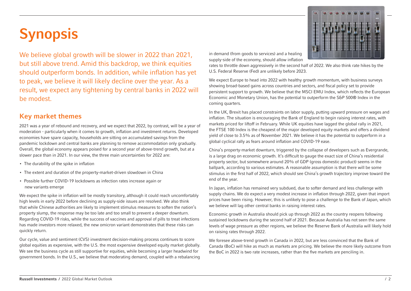# Synopsis

We believe global growth will be slower in 2022 than 2021, but still above trend. Amid this backdrop, we think equities should outperform bonds. In addition, while inflation has yet to peak, we believe it will likely decline over the year. As a result, we expect any tightening by central banks in 2022 will be modest.

## Key market themes

2021 was a year of rebound and recovery, and we expect that 2022, by contrast, will be a year of moderation - particularly when it comes to growth, inflation and investment returns. Developed economies have spare capacity, households are sitting on accumulated savings from the pandemic lockdown and central banks are planning to remove accommodation only gradually. Overall, the global economy appears poised for a second year of above-trend growth, but at a slower pace than in 2021. In our view, the three main uncertainties for 2022 are:

- The durability of the spike in inflation
- The extent and duration of the property-market-driven slowdown in China
- Possible further COVID-19 lockdowns as infection rates increase again or new variants emerge

We expect the spike in inflation will be mostly transitory, although it could reach uncomfortably high levels in early 2022 before declining as supply-side issues are resolved. We also think that while Chinese authorities are likely to implement stimulus measures to soften the nation's property slump, the response may be too late and too small to prevent a deeper downturn. Regarding COVID-19 risks, while the success of vaccines and approval of pills to treat infections has made investors more relaxed, the new omicron variant demonstrates that these risks can quickly return.

Our cycle, value and sentiment (CVS) investment decision-making process continues to score global equities as expensive, with the U.S. the most expensive developed equity market globally. We see the business cycle as still supportive for equities, while becoming a larger headwind for government bonds. In the U.S., we believe that moderating demand, coupled with a rebalancing



in demand (from goods to services) and a healing supply-side of the economy, should allow inflation

rates to throttle down aggressively in the second half of 2022. We also think rate hikes by the U.S. Federal Reserve (Fed) are unlikely before 2023.

We expect Europe to head into 2022 with healthy growth momentum, with business surveys showing broad-based gains across countries and sectors, and fiscal policy set to provide persistent support to growth. We believe that the MSCI EMU Index, which reflects the European Economic and Monetary Union, has the potential to outperform the S&P 500® Index in the coming quarters.

In the UK, Brexit has placed constraints on labor supply, putting upward pressure on wages and inflation. The situation is encouraging the Bank of England to begin raising interest rates, with markets priced for liftoff in February. While UK equities have lagged the global rally in 2021, the FTSE 100 Index is the cheapest of the major developed equity markets and offers a dividend yield of close to 3.5% as of November 2021. We believe it has the potential to outperform in a global cyclical rally as fears around inflation and COVID-19 ease.

China's property-market downturn, triggered by the collapse of developers such as Evergrande, is a large drag on economic growth. It's difficult to gauge the exact size of China's residential property sector, but somewhere around 20% of GDP (gross domestic product) seems in the ballpark, according to various estimates. A reasonable assumption is that there will be some stimulus in the first half of 2022, which should see China's growth trajectory improve toward the end of the year.

In Japan, inflation has remained very subdued, due to softer demand and less challenge with supply chains. We do expect a very modest increase in inflation through 2022, given that import prices have been rising. However, this is unlikely to pose a challenge to the Bank of Japan, which we believe will lag other central banks in raising interest rates.

Economic growth in Australia should pick up through 2022 as the country reopens following sustained lockdowns during the second half of 2021. Because Australia has not seen the same levels of wage pressure as other regions, we believe the Reserve Bank of Australia will likely hold on raising rates through 2022.

We foresee above-trend growth in Canada in 2022, but are less convinced that the Bank of Canada (BoC) will hike as much as markets are pricing. We believe the more likely outcome from the BoC in 2022 is two rate increases, rather than the five markets are penciling in.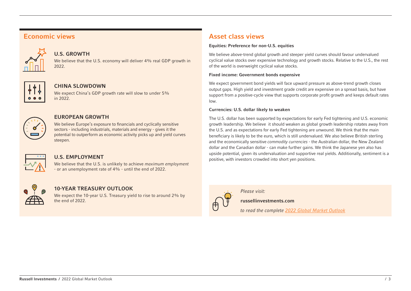## Economic views



## U.S. GROWTH

We believe that the U.S. economy will deliver 4% real GDP growth in 2022.



## CHINA SLOWDOWN

We expect China's GDP growth rate will slow to under 5% in 2022.



#### EUROPEAN GROWTH

We believe Europe's exposure to financials and cyclically sensitive sectors - including industrials, materials and energy - gives it the potential to outperform as economic activity picks up and yield curves steepen.



## U.S. EMPLOYMENT

We believe that the U.S. is unlikely to achieve *maximum employment* - or an unemployment rate of 4% - until the end of 2022.



## 10-YEAR TREASURY OUTLOOK

We expect the 10-year U.S. Treasury yield to rise to around 2% by the end of 2022.

# Asset class views

#### Equities: Preference for non-U.S. equities

We believe above-trend global growth and steeper yield curves should favour undervalued cyclical value stocks over expensive technology and growth stocks. Relative to the U.S., the rest of the world is overweight cyclical value stocks.

#### Fixed income: Government bonds expensive

We expect government bond yields will face upward pressure as above-trend growth closes output gaps. High yield and investment grade credit are expensive on a spread basis, but have support from a positive-cycle view that supports corporate profit growth and keeps default rates low.

#### Currencies: U.S. dollar likely to weaken

The U.S. dollar has been supported by expectations for early Fed tightening and U.S. economic growth leadership. We believe it should weaken as global growth leadership rotates away from the U.S. and as expectations for early Fed tightening are unwound. We think that the main beneficiary is likely to be the euro, which is still undervalued. We also believe British sterling and the economically sensitive *commodity currencies* - the Australian dollar, the New Zealand dollar and the Canadian dollar - can make further gains. We think the Japanese yen also has upside potential, given its undervaluation and supportive real yields. Additionally, sentiment is a positive, with investors crowded into short yen positions.



*Please visit:*

russellinvestments.com

*to read the complete [2022 Global Market Outlook](https://russellinvestments.com/uk/global-market-outlook)*